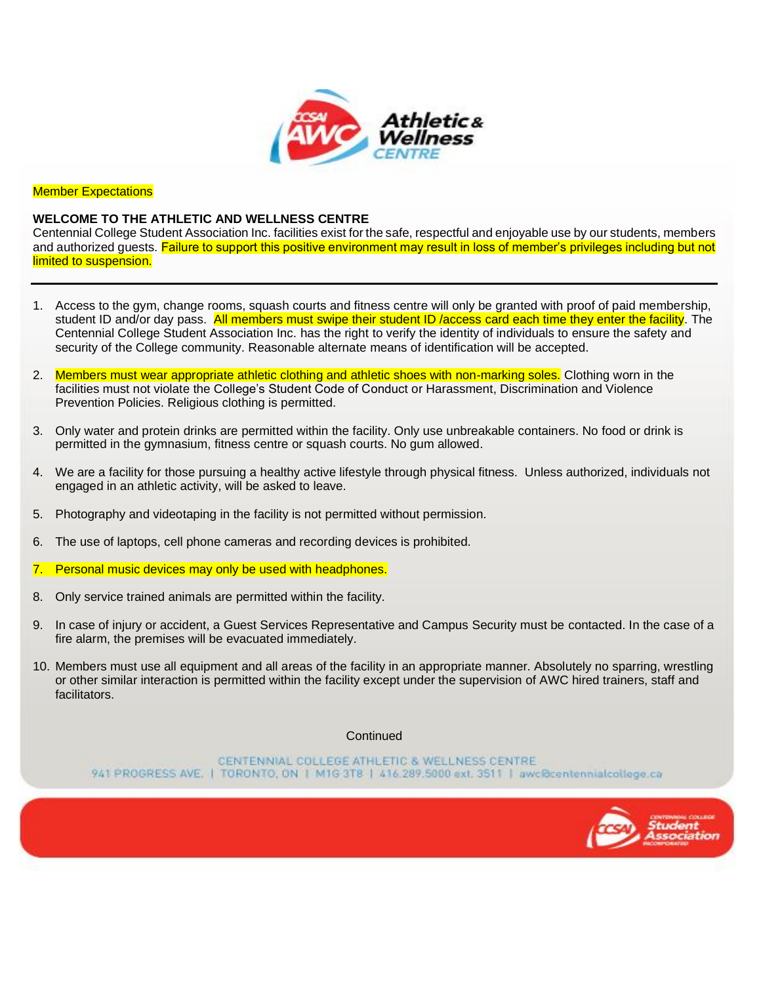

**Member Expectations** 

## **WELCOME TO THE ATHLETIC AND WELLNESS CENTRE**

Centennial College Student Association Inc. facilities exist for the safe, respectful and enjoyable use by our students, members and authorized guests. Failure to support this positive environment may result in loss of member's privileges including but not limited to suspension.

- 1. Access to the gym, change rooms, squash courts and fitness centre will only be granted with proof of paid membership, student ID and/or day pass. All members must swipe their student ID /access card each time they enter the facility. The Centennial College Student Association Inc. has the right to verify the identity of individuals to ensure the safety and security of the College community. Reasonable alternate means of identification will be accepted.
- 2. Members must wear appropriate athletic clothing and athletic shoes with non-marking soles. Clothing worn in the facilities must not violate the College's Student Code of Conduct or Harassment, Discrimination and Violence Prevention Policies. Religious clothing is permitted.
- 3. Only water and protein drinks are permitted within the facility. Only use unbreakable containers. No food or drink is permitted in the gymnasium, fitness centre or squash courts. No gum allowed.
- 4. We are a facility for those pursuing a healthy active lifestyle through physical fitness. Unless authorized, individuals not engaged in an athletic activity, will be asked to leave.
- 5. Photography and videotaping in the facility is not permitted without permission.
- 6. The use of laptops, cell phone cameras and recording devices is prohibited.
- 7. Personal music devices may only be used with headphones.
- 8. Only service trained animals are permitted within the facility.
- 9. In case of injury or accident, a Guest Services Representative and Campus Security must be contacted. In the case of a fire alarm, the premises will be evacuated immediately.
- 10. Members must use all equipment and all areas of the facility in an appropriate manner. Absolutely no sparring, wrestling or other similar interaction is permitted within the facility except under the supervision of AWC hired trainers, staff and facilitators.

**Continued** 

CENTENNIAL COLLEGE ATHLETIC & WELLNESS CENTRE 941 PROGRESS AVE, | TORONTO, ON | M1G 3T8 | 416.289.5000 ext, 3511 | awc@centennialcollege.ca